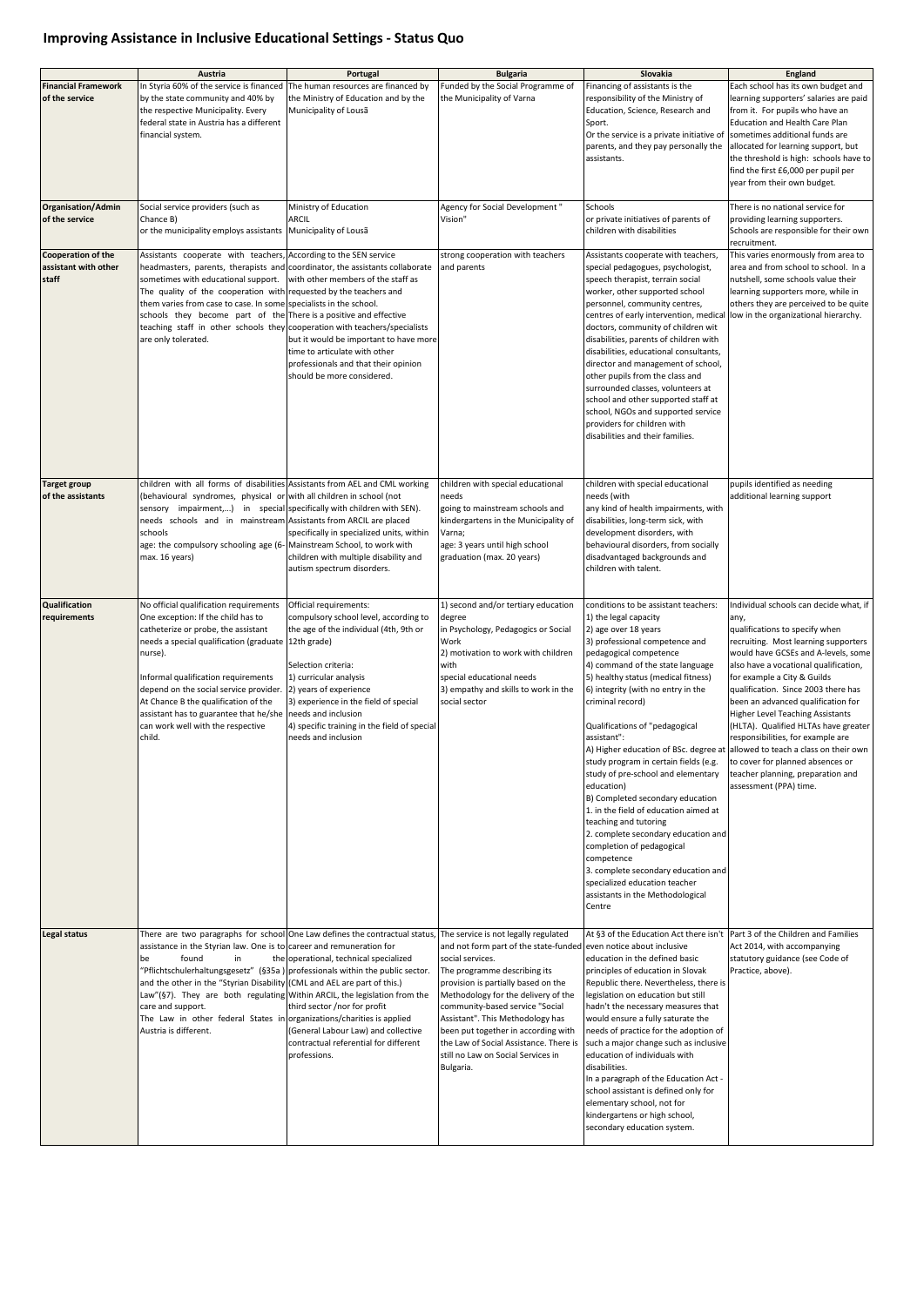## **Improving Assistance in Inclusive Educational Settings - Status Quo**

|                                                     | Austria                                                                                                                                                                                                                                                                                                                                                                                                                                                                                                                                        | Portugal                                                                                                                                                                                                                                                                                                                    | <b>Bulgaria</b>                                                                                                                                                                                                                                                                                                                                                                                                | Slovakia                                                                                                                                                                                                                                                                                                                                                                                                                                                                                                                                                                                                                                                                                                                                                                                     | <b>England</b>                                                                                                                                                                                                                                                                                                                                                                                                                                                                                                                                                                           |
|-----------------------------------------------------|------------------------------------------------------------------------------------------------------------------------------------------------------------------------------------------------------------------------------------------------------------------------------------------------------------------------------------------------------------------------------------------------------------------------------------------------------------------------------------------------------------------------------------------------|-----------------------------------------------------------------------------------------------------------------------------------------------------------------------------------------------------------------------------------------------------------------------------------------------------------------------------|----------------------------------------------------------------------------------------------------------------------------------------------------------------------------------------------------------------------------------------------------------------------------------------------------------------------------------------------------------------------------------------------------------------|----------------------------------------------------------------------------------------------------------------------------------------------------------------------------------------------------------------------------------------------------------------------------------------------------------------------------------------------------------------------------------------------------------------------------------------------------------------------------------------------------------------------------------------------------------------------------------------------------------------------------------------------------------------------------------------------------------------------------------------------------------------------------------------------|------------------------------------------------------------------------------------------------------------------------------------------------------------------------------------------------------------------------------------------------------------------------------------------------------------------------------------------------------------------------------------------------------------------------------------------------------------------------------------------------------------------------------------------------------------------------------------------|
| <b>Financial Framework</b><br>of the service        | In Styria 60% of the service is financed The human resources are financed by<br>by the state community and 40% by<br>the respective Municipality. Every<br>federal state in Austria has a different<br>financial system.                                                                                                                                                                                                                                                                                                                       | the Ministry of Education and by the<br>Municipality of Lousã                                                                                                                                                                                                                                                               | Funded by the Social Programme of<br>the Municipality of Varna                                                                                                                                                                                                                                                                                                                                                 | Financing of assistants is the<br>responsibility of the Ministry of<br>Education, Science, Research and<br>Sport.<br>Or the service is a private initiative of Sometimes additional funds are<br>parents, and they pay personally the<br>assistants.                                                                                                                                                                                                                                                                                                                                                                                                                                                                                                                                         | Each school has its own budget and<br>learning supporters' salaries are paid<br>from it. For pupils who have an<br><b>Education and Health Care Plan</b><br>allocated for learning support, but<br>the threshold is high: schools have to<br>find the first £6,000 per pupil per<br>year from their own budget.                                                                                                                                                                                                                                                                          |
| Organisation/Admin<br>of the service                | Social service providers (such as<br>Chance B)<br>or the municipality employs assistants Municipality of Lousa                                                                                                                                                                                                                                                                                                                                                                                                                                 | Ministry of Education<br><b>ARCIL</b>                                                                                                                                                                                                                                                                                       | Agency for Social Development"<br>Vision"                                                                                                                                                                                                                                                                                                                                                                      | Schools<br>or private initiatives of parents of<br>children with disabilities                                                                                                                                                                                                                                                                                                                                                                                                                                                                                                                                                                                                                                                                                                                | There is no national service for<br>providing learning supporters.<br>Schools are responsible for their own<br>recruitment.                                                                                                                                                                                                                                                                                                                                                                                                                                                              |
| Cooperation of the<br>assistant with other<br>staff | Assistants cooperate with teachers, According to the SEN service<br>headmasters, parents, therapists and coordinator, the assistants collaborate<br>sometimes with educational support. with other members of the staff as<br>The quality of the cooperation with requested by the teachers and<br>them varies from case to case. In some specialists in the school.<br>schools they become part of the There is a positive and effective<br>teaching staff in other schools they cooperation with teachers/specialists<br>are only tolerated. | but it would be important to have more<br>time to articulate with other<br>professionals and that their opinion<br>should be more considered.                                                                                                                                                                               | strong cooperation with teachers<br>and parents                                                                                                                                                                                                                                                                                                                                                                | Assistants cooperate with teachers,<br>special pedagogues, psychologist,<br>speech therapist, terrain social<br>worker, other supported school<br>personnel, community centres,<br>centres of early intervention, medical<br>doctors, community of children wit<br>disabilities, parents of children with<br>disabilities, educational consultants,<br>director and management of school,<br>other pupils from the class and<br>surrounded classes, volunteers at<br>school and other supported staff at<br>school, NGOs and supported service<br>providers for children with<br>disabilities and their families.                                                                                                                                                                            | This varies enormously from area to<br>area and from school to school. In a<br>nutshell, some schools value their<br>learning supporters more, while in<br>others they are perceived to be quite<br>low in the organizational hierarchy.                                                                                                                                                                                                                                                                                                                                                 |
| Target group<br>of the assistants                   | children with all forms of disabilities Assistants from AEL and CML working<br>(behavioural syndromes, physical or with all children in school (not<br>sensory impairment,) in special specifically with children with SEN).<br>needs schools and in mainstream Assistants from ARCIL are placed<br>schools<br>age: the compulsory schooling age (6- Mainstream School, to work with<br>max. 16 years)                                                                                                                                         | specifically in specialized units, within<br>children with multiple disability and<br>autism spectrum disorders.                                                                                                                                                                                                            | children with special educational<br>needs<br>going to mainstream schools and<br>kindergartens in the Municipality of<br>Varna;<br>age: 3 years until high school<br>graduation (max. 20 years)                                                                                                                                                                                                                | children with special educational<br>needs (with<br>any kind of health impairments, with<br>disabilities, long-term sick, with<br>development disorders, with<br>behavioural disorders, from socially<br>disadvantaged backgrounds and<br>children with talent.                                                                                                                                                                                                                                                                                                                                                                                                                                                                                                                              | pupils identified as needing<br>additional learning support                                                                                                                                                                                                                                                                                                                                                                                                                                                                                                                              |
| <b>Qualification</b><br>requirements                | No official qualification requirements<br>One exception: If the child has to<br>catheterize or probe, the assistant<br>needs a special qualification (graduate 12th grade)<br>nurse).<br>Informal qualification requirements<br>depend on the social service provider.<br>At Chance B the qualification of the<br>assistant has to guarantee that he/she<br>can work well with the respective<br>child.                                                                                                                                        | Official requirements:<br>compulsory school level, according to<br>the age of the individual (4th, 9th or<br>Selection criteria:<br>1) curricular analysis<br>2) years of experience<br>3) experience in the field of special<br>needs and inclusion<br>4) specific training in the field of special<br>needs and inclusion | 1) second and/or tertiary education<br>degree<br>in Psychology, Pedagogics or Social<br>Work<br>2) motivation to work with children<br>with<br>special educational needs<br>3) empathy and skills to work in the<br>social sector                                                                                                                                                                              | conditions to be assistant teachers:<br>1) the legal capacity<br>2) age over 18 years<br>3) professional competence and<br>pedagogical competence<br>4) command of the state language<br>[5] healthy status (medical fitness)<br>6) integrity (with no entry in the<br>criminal record)<br>Qualifications of "pedagogical<br>assistant":<br>A) Higher education of BSc. degree at<br>study program in certain fields (e.g.<br>study of pre-school and elementary<br>education)<br>B) Completed secondary education<br>1. in the field of education aimed at<br>teaching and tutoring<br>2. complete secondary education and<br>completion of pedagogical<br>competence<br>3. complete secondary education and<br>specialized education teacher<br>assistants in the Methodological<br>Centre | Individual schools can decide what, if<br>any,<br>qualifications to specify when<br>recruiting. Most learning supporters<br>would have GCSEs and A-levels, some<br>also have a vocational qualification,<br>for example a City & Guilds<br>qualification. Since 2003 there has<br>been an advanced qualification for<br><b>Higher Level Teaching Assistants</b><br>(HLTA). Qualified HLTAs have greater<br>responsibilities, for example are<br>allowed to teach a class on their own<br>to cover for planned absences or<br>teacher planning, preparation and<br>assessment (PPA) time. |
| Legal status                                        | assistance in the Styrian law. One is to career and remuneration for<br>found<br>in<br>lbe l<br>"Pflichtschulerhaltungsgesetz" (§35a ) professionals within the public sector.<br>and the other in the "Styrian Disability (CML and AEL are part of this.)<br>$\lfloor$ Law"(§7). They are both regulating Within ARCIL, the legislation from the<br>care and support.<br>The Law in other federal States in organizations/charities is applied<br>Austria is different.                                                                       | There are two paragraphs for school One Law defines the contractual status, The service is not legally regulated<br>the operational, technical specialized<br>third sector /nor for profit<br>(General Labour Law) and collective<br>contractual referential for different<br>professions.                                  | and not form part of the state-funded even notice about inclusive<br>social services.<br>The programme describing its<br>provision is partially based on the<br>Methodology for the delivery of the<br>community-based service "Social<br>Assistant". This Methodology has<br>been put together in according with<br>the Law of Social Assistance. There is<br>still no Law on Social Services in<br>Bulgaria. | At §3 of the Education Act there isn't  Part 3 of the Children and Families<br>education in the defined basic<br>principles of education in Slovak<br>Republic there. Nevertheless, there is<br>legislation on education but still<br>hadn't the necessary measures that<br>would ensure a fully saturate the<br>needs of practice for the adoption of<br>such a major change such as inclusive<br>education of individuals with<br>disabilities.<br>In a paragraph of the Education Act -<br>school assistant is defined only for<br>elementary school, not for<br>kindergartens or high school,<br>secondary education system.                                                                                                                                                             | Act 2014, with accompanying<br>statutory guidance (see Code of<br>Practice, above).                                                                                                                                                                                                                                                                                                                                                                                                                                                                                                      |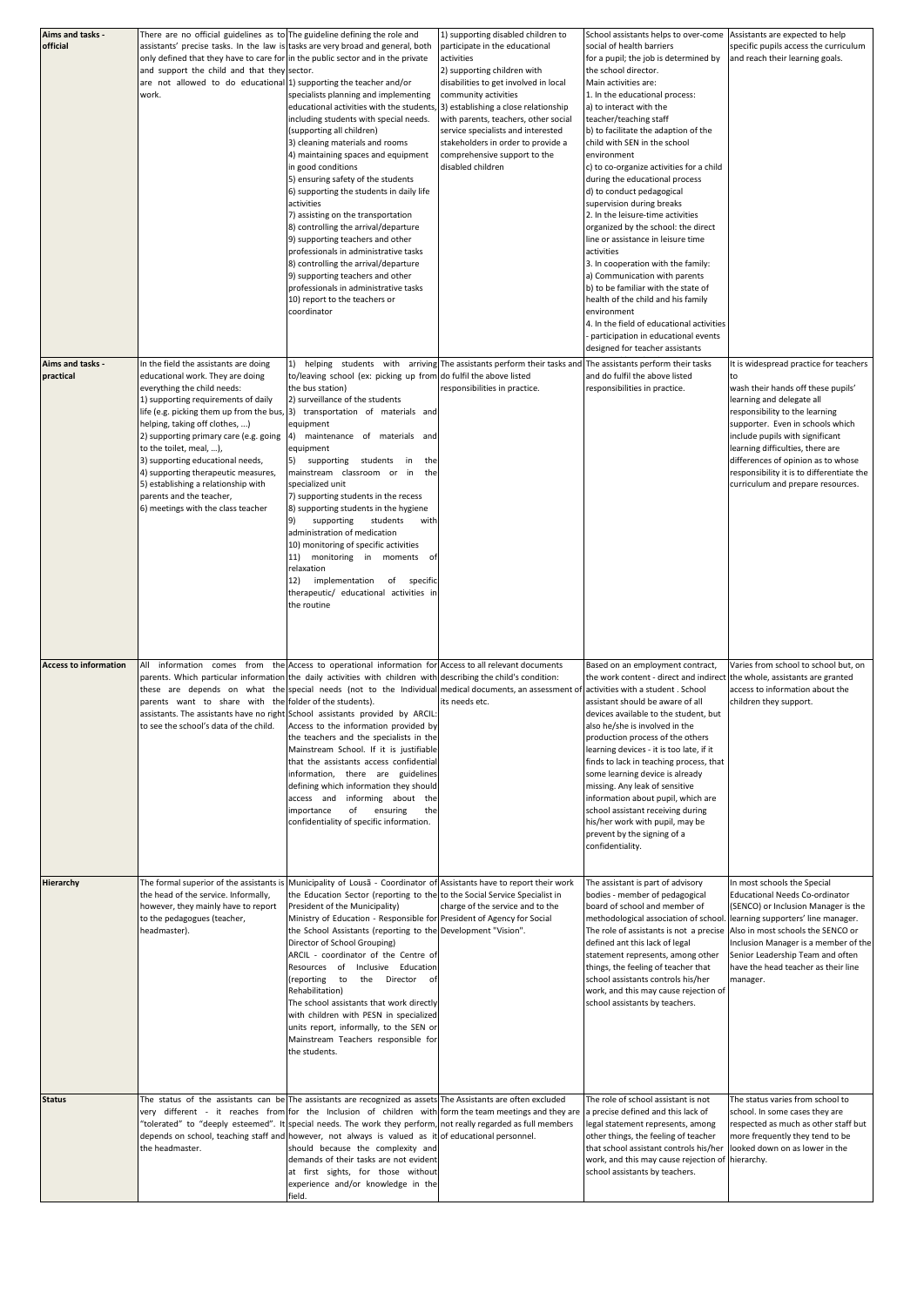| Aims and tasks -             | There are no official guidelines as to The guideline defining the role and                                     |                                                                                                                                            | 1) supporting disabled children to                                                                       | School assistants helps to over-come                                        | Assistants are expected to help                                                |
|------------------------------|----------------------------------------------------------------------------------------------------------------|--------------------------------------------------------------------------------------------------------------------------------------------|----------------------------------------------------------------------------------------------------------|-----------------------------------------------------------------------------|--------------------------------------------------------------------------------|
| official                     | assistants' precise tasks. In the law is tasks are very broad and general, both                                |                                                                                                                                            | participate in the educational                                                                           | social of health barriers                                                   | specific pupils access the curriculum                                          |
|                              | only defined that they have to care for in the public sector and in the private                                |                                                                                                                                            | activities                                                                                               | for a pupil; the job is determined by                                       | and reach their learning goals.                                                |
|                              | and support the child and that they sector.                                                                    |                                                                                                                                            | 2) supporting children with                                                                              | the school director.                                                        |                                                                                |
|                              | are not allowed to do educational $ 1\rangle$ supporting the teacher and/or                                    |                                                                                                                                            | disabilities to get involved in local                                                                    | Main activities are:                                                        |                                                                                |
|                              | work.                                                                                                          | specialists planning and implementing                                                                                                      | community activities                                                                                     | 1. In the educational process:                                              |                                                                                |
|                              |                                                                                                                | educational activities with the students, [3] establishing a close relationship<br>including students with special needs.                  | with parents, teachers, other social                                                                     | a) to interact with the<br>teacher/teaching staff                           |                                                                                |
|                              |                                                                                                                | (supporting all children)                                                                                                                  | service specialists and interested                                                                       | b) to facilitate the adaption of the                                        |                                                                                |
|                              |                                                                                                                | 3) cleaning materials and rooms                                                                                                            | stakeholders in order to provide a                                                                       | child with SEN in the school                                                |                                                                                |
|                              |                                                                                                                | 4) maintaining spaces and equipment                                                                                                        | comprehensive support to the                                                                             | environment                                                                 |                                                                                |
|                              |                                                                                                                | in good conditions                                                                                                                         | disabled children                                                                                        | c) to co-organize activities for a child                                    |                                                                                |
|                              |                                                                                                                | 5) ensuring safety of the students                                                                                                         |                                                                                                          | during the educational process                                              |                                                                                |
|                              |                                                                                                                | 6) supporting the students in daily life                                                                                                   |                                                                                                          | d) to conduct pedagogical                                                   |                                                                                |
|                              |                                                                                                                | activities                                                                                                                                 |                                                                                                          | supervision during breaks                                                   |                                                                                |
|                              |                                                                                                                | 7) assisting on the transportation                                                                                                         |                                                                                                          | 2. In the leisure-time activities                                           |                                                                                |
|                              |                                                                                                                | 8) controlling the arrival/departure                                                                                                       |                                                                                                          | organized by the school: the direct                                         |                                                                                |
|                              |                                                                                                                | 9) supporting teachers and other                                                                                                           |                                                                                                          | line or assistance in leisure time                                          |                                                                                |
|                              |                                                                                                                | professionals in administrative tasks                                                                                                      |                                                                                                          | activities                                                                  |                                                                                |
|                              |                                                                                                                | 8) controlling the arrival/departure                                                                                                       |                                                                                                          | 3. In cooperation with the family:<br>a) Communication with parents         |                                                                                |
|                              |                                                                                                                | 9) supporting teachers and other<br>professionals in administrative tasks                                                                  |                                                                                                          | b) to be familiar with the state of                                         |                                                                                |
|                              |                                                                                                                | 10) report to the teachers or                                                                                                              |                                                                                                          | health of the child and his family                                          |                                                                                |
|                              |                                                                                                                | coordinator                                                                                                                                |                                                                                                          | environment                                                                 |                                                                                |
|                              |                                                                                                                |                                                                                                                                            |                                                                                                          | 4. In the field of educational activities                                   |                                                                                |
|                              |                                                                                                                |                                                                                                                                            |                                                                                                          | participation in educational events                                         |                                                                                |
|                              |                                                                                                                |                                                                                                                                            |                                                                                                          | designed for teacher assistants                                             |                                                                                |
| Aims and tasks -             | In the field the assistants are doing                                                                          |                                                                                                                                            | helping students with arriving The assistants perform their tasks and The assistants perform their tasks |                                                                             | It is widespread practice for teachers                                         |
| practical                    | educational work. They are doing                                                                               | to/leaving school (ex: picking up from do fulfil the above listed                                                                          |                                                                                                          | and do fulfil the above listed                                              | to                                                                             |
|                              | everything the child needs:                                                                                    | the bus station)                                                                                                                           | responsibilities in practice.                                                                            | responsibilities in practice.                                               | wash their hands off these pupils'                                             |
|                              | 1) supporting requirements of daily                                                                            | 2) surveillance of the students                                                                                                            |                                                                                                          |                                                                             | learning and delegate all                                                      |
|                              |                                                                                                                | life (e.g. picking them up from the bus, $ 3\rangle$ transportation of materials and                                                       |                                                                                                          |                                                                             | responsibility to the learning                                                 |
|                              | helping, taking off clothes, )                                                                                 | equipment                                                                                                                                  |                                                                                                          |                                                                             | supporter. Even in schools which                                               |
|                              | [2] supporting primary care (e.g. going                                                                        | 4) maintenance of materials and                                                                                                            |                                                                                                          |                                                                             | include pupils with significant                                                |
|                              | to the toilet, meal, ),                                                                                        | equipment                                                                                                                                  |                                                                                                          |                                                                             | learning difficulties, there are                                               |
|                              | 3) supporting educational needs,                                                                               | [5] supporting students in the<br>mainstream classroom or in the                                                                           |                                                                                                          |                                                                             | differences of opinion as to whose                                             |
|                              | [4] supporting therapeutic measures,<br>5) establishing a relationship with                                    | specialized unit                                                                                                                           |                                                                                                          |                                                                             | responsibility it is to differentiate the<br>curriculum and prepare resources. |
|                              | parents and the teacher,                                                                                       | 7) supporting students in the recess                                                                                                       |                                                                                                          |                                                                             |                                                                                |
|                              | 6) meetings with the class teacher                                                                             | 8) supporting students in the hygiene                                                                                                      |                                                                                                          |                                                                             |                                                                                |
|                              |                                                                                                                | supporting students<br>with                                                                                                                |                                                                                                          |                                                                             |                                                                                |
|                              |                                                                                                                | administration of medication                                                                                                               |                                                                                                          |                                                                             |                                                                                |
|                              |                                                                                                                | 10) monitoring of specific activities                                                                                                      |                                                                                                          |                                                                             |                                                                                |
|                              |                                                                                                                | 11) monitoring in moments of                                                                                                               |                                                                                                          |                                                                             |                                                                                |
|                              |                                                                                                                | relaxation                                                                                                                                 |                                                                                                          |                                                                             |                                                                                |
|                              |                                                                                                                | implementation of specific<br>12)                                                                                                          |                                                                                                          |                                                                             |                                                                                |
|                              |                                                                                                                | therapeutic/ educational activities in                                                                                                     |                                                                                                          |                                                                             |                                                                                |
|                              |                                                                                                                | the routine                                                                                                                                |                                                                                                          |                                                                             |                                                                                |
|                              |                                                                                                                |                                                                                                                                            |                                                                                                          |                                                                             |                                                                                |
|                              |                                                                                                                |                                                                                                                                            |                                                                                                          |                                                                             |                                                                                |
|                              |                                                                                                                |                                                                                                                                            |                                                                                                          |                                                                             |                                                                                |
| <b>Access to information</b> |                                                                                                                | information comes from the $ $ Access to operational information for $ $ Access to all relevant documents                                  |                                                                                                          | Based on an employment contract,                                            | Varies from school to school but, on                                           |
|                              |                                                                                                                | parents. Which particular information the daily activities with children with describing the child's condition:                            |                                                                                                          | the work content - direct and indirect the whole, assistants are granted    |                                                                                |
|                              |                                                                                                                | these are depends on what the special needs (not to the Individual medical documents, an assessment of activities with a student. School   |                                                                                                          |                                                                             | access to information about the                                                |
|                              | parents want to share with the folder of the students).                                                        |                                                                                                                                            | its needs etc.                                                                                           | assistant should be aware of all                                            | children they support.                                                         |
|                              |                                                                                                                | assistants. The assistants have no right School assistants provided by ARCIL:                                                              |                                                                                                          | devices available to the student, but                                       |                                                                                |
|                              | to see the school's data of the child.                                                                         | Access to the information provided by                                                                                                      |                                                                                                          | also he/she is involved in the                                              |                                                                                |
|                              |                                                                                                                | the teachers and the specialists in the                                                                                                    |                                                                                                          | production process of the others                                            |                                                                                |
|                              |                                                                                                                | Mainstream School. If it is justifiable                                                                                                    |                                                                                                          | learning devices - it is too late, if it                                    |                                                                                |
|                              |                                                                                                                | that the assistants access confidential                                                                                                    |                                                                                                          | finds to lack in teaching process, that                                     |                                                                                |
|                              |                                                                                                                | information, there are guidelines                                                                                                          |                                                                                                          | some learning device is already                                             |                                                                                |
|                              |                                                                                                                | defining which information they should                                                                                                     |                                                                                                          | missing. Any leak of sensitive                                              |                                                                                |
|                              |                                                                                                                | access and<br>informing about the                                                                                                          |                                                                                                          | information about pupil, which are                                          |                                                                                |
|                              |                                                                                                                | οf<br>ensuring<br>the<br>importance                                                                                                        |                                                                                                          | school assistant receiving during                                           |                                                                                |
|                              |                                                                                                                | confidentiality of specific information.                                                                                                   |                                                                                                          | his/her work with pupil, may be                                             |                                                                                |
|                              |                                                                                                                |                                                                                                                                            |                                                                                                          | prevent by the signing of a<br>confidentiality.                             |                                                                                |
|                              |                                                                                                                |                                                                                                                                            |                                                                                                          |                                                                             |                                                                                |
|                              |                                                                                                                |                                                                                                                                            |                                                                                                          |                                                                             |                                                                                |
| <b>Hierarchy</b>             |                                                                                                                | The formal superior of the assistants is Municipality of Lousa - Coordinator of Assistants have to report their work                       |                                                                                                          | The assistant is part of advisory                                           | In most schools the Special                                                    |
|                              | the head of the service. Informally,                                                                           | the Education Sector (reporting to the to the Social Service Specialist in                                                                 |                                                                                                          | bodies - member of pedagogical                                              | <b>Educational Needs Co-ordinator</b>                                          |
|                              | however, they mainly have to report                                                                            | President of the Municipality)                                                                                                             | charge of the service and to the                                                                         | board of school and member of                                               | (SENCO) or Inclusion Manager is the                                            |
|                              | to the pedagogues (teacher,                                                                                    | Ministry of Education - Responsible for President of Agency for Social                                                                     |                                                                                                          | methodological association of school                                        | learning supporters' line manager.                                             |
|                              | headmaster).                                                                                                   | the School Assistants (reporting to the Development "Vision".                                                                              |                                                                                                          | The role of assistants is not a precise   Also in most schools the SENCO or |                                                                                |
|                              |                                                                                                                | Director of School Grouping)                                                                                                               |                                                                                                          | defined ant this lack of legal                                              | Inclusion Manager is a member of the                                           |
|                              |                                                                                                                | ARCIL - coordinator of the Centre of                                                                                                       |                                                                                                          | statement represents, among other                                           | Senior Leadership Team and often<br>have the head teacher as their line        |
|                              |                                                                                                                | of<br>Inclusive Education<br>Resources<br>(reporting<br>to<br>the<br>Director of                                                           |                                                                                                          | things, the feeling of teacher that<br>school assistants controls his/her   |                                                                                |
|                              |                                                                                                                | Rehabilitation)                                                                                                                            |                                                                                                          | work, and this may cause rejection of                                       | manager.                                                                       |
|                              |                                                                                                                | The school assistants that work directly                                                                                                   |                                                                                                          | school assistants by teachers.                                              |                                                                                |
|                              |                                                                                                                | with children with PESN in specialized                                                                                                     |                                                                                                          |                                                                             |                                                                                |
|                              |                                                                                                                | units report, informally, to the SEN or                                                                                                    |                                                                                                          |                                                                             |                                                                                |
|                              |                                                                                                                | Mainstream Teachers responsible for                                                                                                        |                                                                                                          |                                                                             |                                                                                |
|                              |                                                                                                                | the students.                                                                                                                              |                                                                                                          |                                                                             |                                                                                |
|                              |                                                                                                                |                                                                                                                                            |                                                                                                          |                                                                             |                                                                                |
|                              |                                                                                                                |                                                                                                                                            |                                                                                                          |                                                                             |                                                                                |
|                              |                                                                                                                |                                                                                                                                            |                                                                                                          |                                                                             |                                                                                |
| <b>Status</b>                |                                                                                                                | The status of the assistants can be The assistants are recognized as assets The Assistants are often excluded                              |                                                                                                          | The role of school assistant is not                                         | The status varies from school to                                               |
|                              |                                                                                                                | very different - it reaches from for the Inclusion of children with form the team meetings and they are a precise defined and this lack of |                                                                                                          |                                                                             | school. In some cases they are                                                 |
|                              |                                                                                                                |                                                                                                                                            |                                                                                                          | legal statement represents, among                                           | respected as much as other staff but                                           |
|                              | "tolerated" to "deeply esteemed". It special needs. The work they perform, not really regarded as full members |                                                                                                                                            |                                                                                                          |                                                                             |                                                                                |
|                              |                                                                                                                | depends on school, teaching staff and however, not always is valued as it of educational personnel.                                        |                                                                                                          | other things, the feeling of teacher                                        | more frequently they tend to be                                                |
|                              | the headmaster.                                                                                                | should because the complexity and                                                                                                          |                                                                                                          | that school assistant controls his/her                                      | looked down on as lower in the                                                 |
|                              |                                                                                                                | demands of their tasks are not evident                                                                                                     |                                                                                                          | work, and this may cause rejection of   hierarchy.                          |                                                                                |
|                              |                                                                                                                | at first sights, for those without<br>experience and/or knowledge in the                                                                   |                                                                                                          | school assistants by teachers.                                              |                                                                                |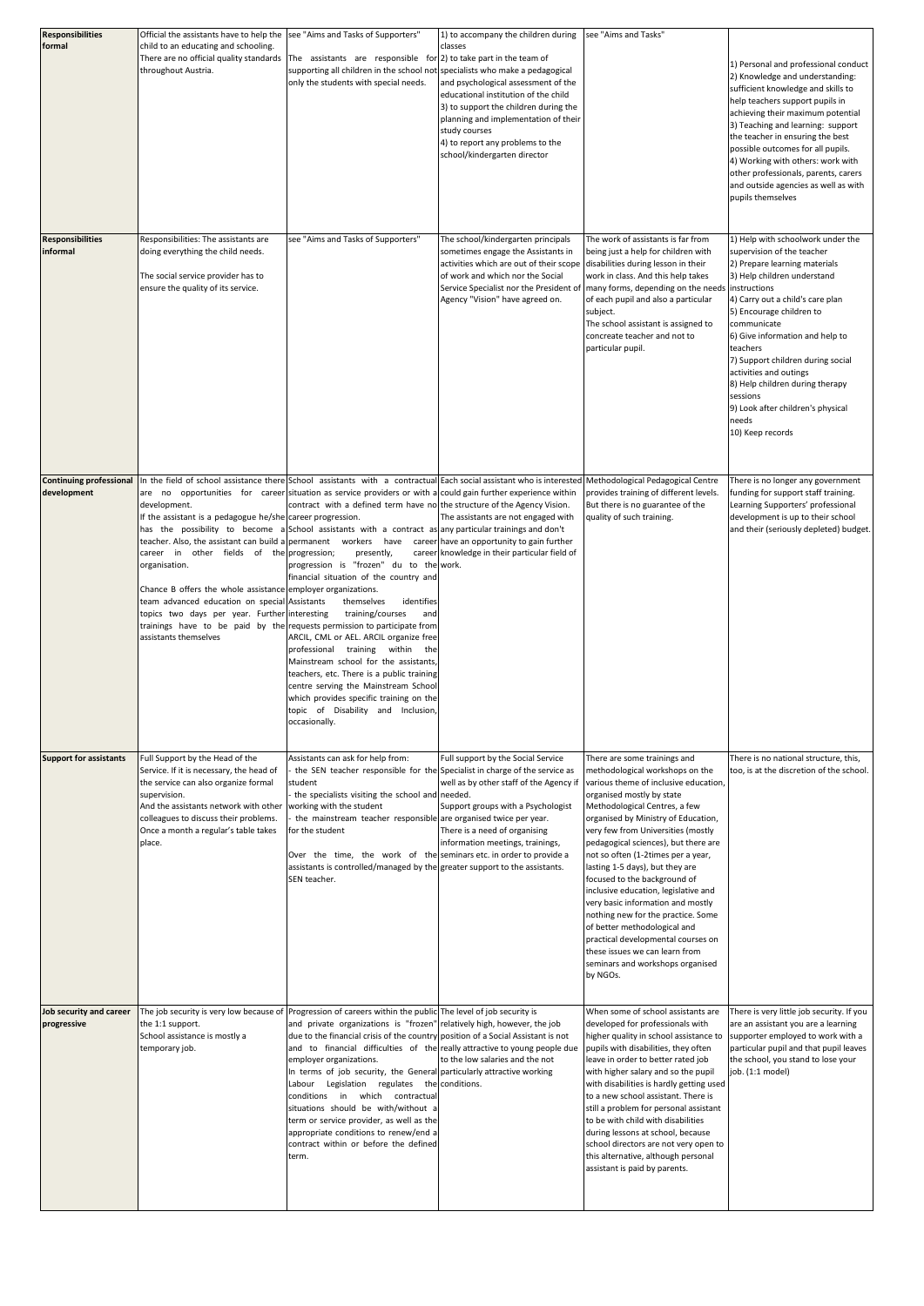| <b>Responsibilities</b>                       | Official the assistants have to help the                                                                                                                                                                                                                                                                                             | see "Aims and Tasks of Supporters"                                                                                                                                                                                                                                                                                                                                                                                                                                                                                                                                                                                                                                                                                                                                                                                                                                                                                                                                                                                                                                                                                                         | 1) to accompany the children during                                                                                                                                                                                                                                                                            | see "Aims and Tasks"                                                                                                                                                                                                                                                                                                                                                                                                                                                                                                                                                                                                                   |                                                                                                                                                                                                                                                                                                                                                                                                                                                               |
|-----------------------------------------------|--------------------------------------------------------------------------------------------------------------------------------------------------------------------------------------------------------------------------------------------------------------------------------------------------------------------------------------|--------------------------------------------------------------------------------------------------------------------------------------------------------------------------------------------------------------------------------------------------------------------------------------------------------------------------------------------------------------------------------------------------------------------------------------------------------------------------------------------------------------------------------------------------------------------------------------------------------------------------------------------------------------------------------------------------------------------------------------------------------------------------------------------------------------------------------------------------------------------------------------------------------------------------------------------------------------------------------------------------------------------------------------------------------------------------------------------------------------------------------------------|----------------------------------------------------------------------------------------------------------------------------------------------------------------------------------------------------------------------------------------------------------------------------------------------------------------|----------------------------------------------------------------------------------------------------------------------------------------------------------------------------------------------------------------------------------------------------------------------------------------------------------------------------------------------------------------------------------------------------------------------------------------------------------------------------------------------------------------------------------------------------------------------------------------------------------------------------------------|---------------------------------------------------------------------------------------------------------------------------------------------------------------------------------------------------------------------------------------------------------------------------------------------------------------------------------------------------------------------------------------------------------------------------------------------------------------|
| formal                                        | child to an educating and schooling.<br>throughout Austria.                                                                                                                                                                                                                                                                          | There are no official quality standards $ $ The assistants are responsible for (2) to take part in the team of<br>supporting all children in the school not specialists who make a pedagogical<br>only the students with special needs.                                                                                                                                                                                                                                                                                                                                                                                                                                                                                                                                                                                                                                                                                                                                                                                                                                                                                                    | classes<br>and psychological assessment of the<br>educational institution of the child<br>3) to support the children during the<br>planning and implementation of their<br>study courses<br>4) to report any problems to the<br>school/kindergarten director                                                   |                                                                                                                                                                                                                                                                                                                                                                                                                                                                                                                                                                                                                                        | 1) Personal and professional conduct<br>2) Knowledge and understanding:<br>sufficient knowledge and skills to<br>help teachers support pupils in<br>achieving their maximum potential<br>3) Teaching and learning: support<br>the teacher in ensuring the best<br>possible outcomes for all pupils.<br>4) Working with others: work with<br>other professionals, parents, carers<br>and outside agencies as well as with<br>pupils themselves                 |
| <b>Responsibilities</b><br>informal           | Responsibilities: The assistants are<br>doing everything the child needs.<br>The social service provider has to<br>ensure the quality of its service.                                                                                                                                                                                | see "Aims and Tasks of Supporters"                                                                                                                                                                                                                                                                                                                                                                                                                                                                                                                                                                                                                                                                                                                                                                                                                                                                                                                                                                                                                                                                                                         | The school/kindergarten principals<br>sometimes engage the Assistants in<br>activities which are out of their scope disabilities during lesson in their<br>of work and which nor the Social<br>Service Specialist nor the President of   many forms, depending on the needs<br>Agency "Vision" have agreed on. | The work of assistants is far from<br>being just a help for children with<br>work in class. And this help takes<br>of each pupil and also a particular<br>subject.<br>The school assistant is assigned to<br>concreate teacher and not to<br>particular pupil.                                                                                                                                                                                                                                                                                                                                                                         | 1) Help with schoolwork under the<br>supervision of the teacher<br>2) Prepare learning materials<br>3) Help children understand<br>instructions<br>4) Carry out a child's care plan<br>5) Encourage children to<br>communicate<br>6) Give information and help to<br>teachers<br>7) Support children during social<br>activities and outings<br>8) Help children during therapy<br>sessions<br>9) Look after children's physical<br>needs<br>10) Keep records |
| <b>Continuing professional</b><br>development | development.<br>If the assistant is a pedagogue he/she career progression.<br>career in other fields of the progression;<br>organisation.<br>Chance B offers the whole assistance employer organizations.<br>team advanced education on special Assistants<br>topics two days per year. Further interesting<br>assistants themselves | In the field of school assistance there School assistants with a contractual Each social assistant who is interested Methodological Pedagogical Centre<br>$\sigma$ are no opportunities for career situation as service providers or with a could gain further experience within<br>contract with a defined term have not the structure of the Agency Vision.<br>has the possibility to become a School assistants with a contract as any particular trainings and don't<br>teacher. Also, the assistant can build a permanent workers have career have an opportunity to gain further<br>presently,<br>progression is "frozen" du to the work.<br>financial situation of the country and<br>identifies<br>themselves<br>training/courses<br>and<br>trainings have to be paid by the requests permission to participate from<br>ARCIL, CML or AEL. ARCIL organize free<br>professional training within the<br>Mainstream school for the assistants,<br>teachers, etc. There is a public training<br>centre serving the Mainstream School<br>which provides specific training on the<br>topic of Disability and Inclusion,<br>occasionally. | The assistants are not engaged with<br>career knowledge in their particular field of                                                                                                                                                                                                                           | provides training of different levels.<br>But there is no guarantee of the<br>quality of such training.                                                                                                                                                                                                                                                                                                                                                                                                                                                                                                                                | There is no longer any government<br>funding for support staff training.<br>Learning Supporters' professional<br>development is up to their school<br>and their (seriously depleted) budget.                                                                                                                                                                                                                                                                  |
| <b>Support for assistants</b>                 | Full Support by the Head of the<br>Service. If it is necessary, the head of<br>the service can also organize formal<br>supervision.<br>And the assistants network with other working with the student<br>colleagues to discuss their problems.<br>Once a month a regular's table takes<br>place.                                     | Assistants can ask for help from:<br>the SEN teacher responsible for the Specialist in charge of the service as<br>student<br>- the specialists visiting the school and needed.<br>the mainstream teacher responsible are organised twice per year.<br>for the student<br>Over the time, the work of the seminars etc. in order to provide a<br>assistants is controlled/managed by the greater support to the assistants.<br>SEN teacher.                                                                                                                                                                                                                                                                                                                                                                                                                                                                                                                                                                                                                                                                                                 | Full support by the Social Service<br>well as by other staff of the Agency if various theme of inclusive education,<br>Support groups with a Psychologist<br>There is a need of organising<br>information meetings, trainings,                                                                                 | There are some trainings and<br>methodological workshops on the<br>organised mostly by state<br>Methodological Centres, a few<br>organised by Ministry of Education,<br>very few from Universities (mostly<br>pedagogical sciences), but there are<br>not so often (1-2times per a year,<br>lasting 1-5 days), but they are<br>focused to the background of<br>inclusive education, legislative and<br>very basic information and mostly<br>nothing new for the practice. Some<br>of better methodological and<br>practical developmental courses on<br>these issues we can learn from<br>seminars and workshops organised<br>by NGOs. | There is no national structure, this,<br>too, is at the discretion of the school.                                                                                                                                                                                                                                                                                                                                                                             |
| Job security and career<br>progressive        | the 1:1 support.<br>School assistance is mostly a<br>temporary job.                                                                                                                                                                                                                                                                  | The job security is very low because of Progression of careers within the public The level of job security is<br>and private organizations is "frozen" relatively high, however, the job<br>due to the financial crisis of the country position of a Social Assistant is not<br>and to financial difficulties of the really attractive to young people due<br>employer organizations.<br>In terms of job security, the General particularly attractive working<br>Labour Legislation regulates the conditions.<br>conditions in which contractual<br>situations should be with/without a<br>term or service provider, as well as the<br>appropriate conditions to renew/end a<br>contract within or before the defined<br>term.                                                                                                                                                                                                                                                                                                                                                                                                            | to the low salaries and the not                                                                                                                                                                                                                                                                                | When some of school assistants are<br>developed for professionals with<br>higher quality in school assistance to<br>pupils with disabilities, they often<br>leave in order to better rated job<br>with higher salary and so the pupil<br>with disabilities is hardly getting used<br>to a new school assistant. There is<br>still a problem for personal assistant<br>to be with child with disabilities<br>during lessons at school, because<br>school directors are not very open to<br>this alternative, although personal<br>assistant is paid by parents.                                                                         | There is very little job security. If you<br>are an assistant you are a learning<br>supporter employed to work with a<br>particular pupil and that pupil leaves<br>the school, you stand to lose your<br>job. (1:1 model)                                                                                                                                                                                                                                     |